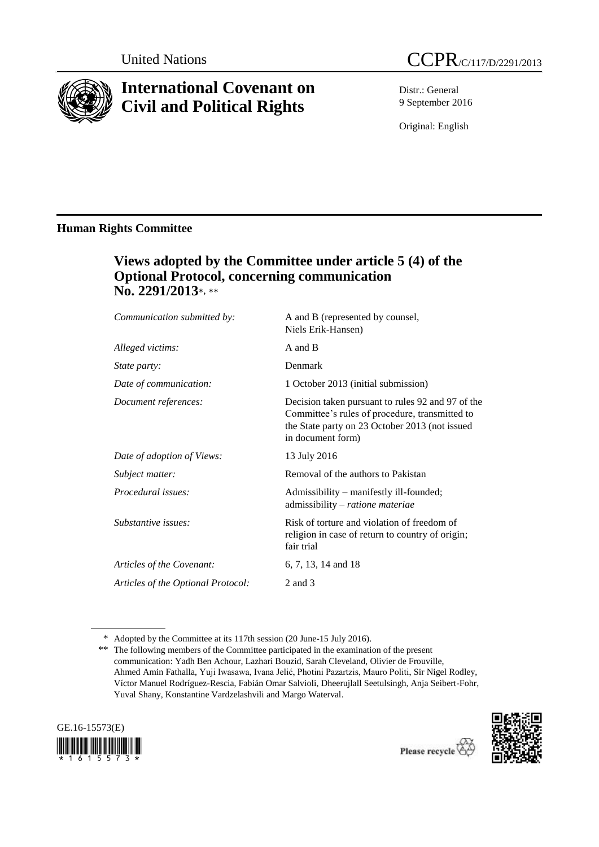

# **International Covenant on Civil and Political Rights**

Distr.: General 9 September 2016

Original: English

# **Human Rights Committee**

# **Views adopted by the Committee under article 5 (4) of the Optional Protocol, concerning communication No. 2291/2013**\*, \*\*

| Communication submitted by:        | A and B (represented by counsel,<br>Niels Erik-Hansen)                                                                                                                     |
|------------------------------------|----------------------------------------------------------------------------------------------------------------------------------------------------------------------------|
| Alleged victims:                   | A and B                                                                                                                                                                    |
| State party:                       | Denmark                                                                                                                                                                    |
| Date of communication:             | 1 October 2013 (initial submission)                                                                                                                                        |
| Document references:               | Decision taken pursuant to rules 92 and 97 of the<br>Committee's rules of procedure, transmitted to<br>the State party on 23 October 2013 (not issued<br>in document form) |
| Date of adoption of Views:         | 13 July 2016                                                                                                                                                               |
| Subject matter:                    | Removal of the authors to Pakistan                                                                                                                                         |
| Procedural issues:                 | Admissibility – manifestly ill-founded;<br>admissibility - ratione materiae                                                                                                |
| Substantive issues:                | Risk of torture and violation of freedom of<br>religion in case of return to country of origin;<br>fair trial                                                              |
| Articles of the Covenant:          | 6, 7, 13, 14 and 18                                                                                                                                                        |
| Articles of the Optional Protocol: | 2 and 3                                                                                                                                                                    |

<sup>\*\*</sup> The following members of the Committee participated in the examination of the present communication: Yadh Ben Achour, Lazhari Bouzid, Sarah Cleveland, Olivier de Frouville, Ahmed Amin Fathalla, Yuji Iwasawa, Ivana Jelić, Photini Pazartzis, Mauro Politi, Sir Nigel Rodley, Víctor Manuel Rodríguez-Rescia, Fabián Omar Salvioli, Dheerujlall Seetulsingh, Anja Seibert-Fohr, Yuval Shany, Konstantine Vardzelashvili and Margo Waterval.





<sup>\*</sup> Adopted by the Committee at its 117th session (20 June-15 July 2016).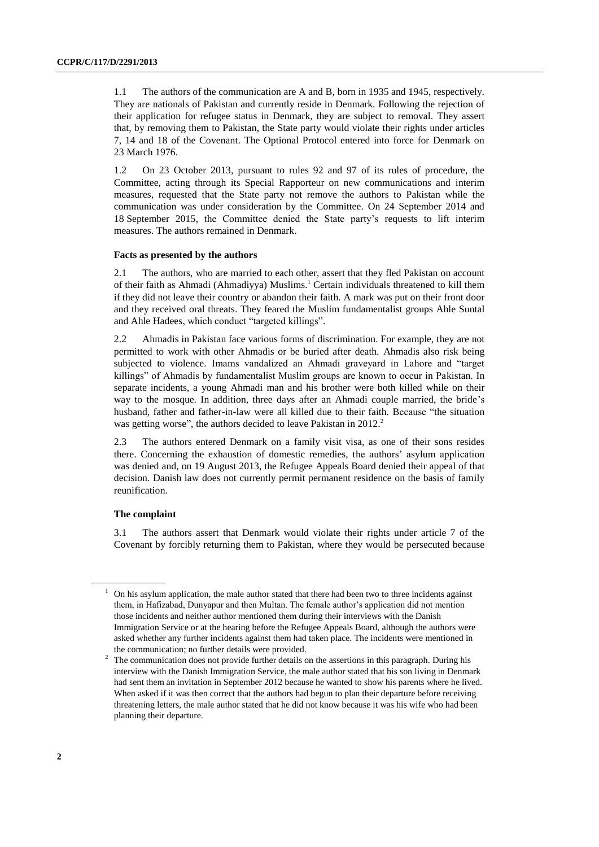1.1 The authors of the communication are A and B, born in 1935 and 1945, respectively. They are nationals of Pakistan and currently reside in Denmark. Following the rejection of their application for refugee status in Denmark, they are subject to removal. They assert that, by removing them to Pakistan, the State party would violate their rights under articles 7, 14 and 18 of the Covenant. The Optional Protocol entered into force for Denmark on 23 March 1976.

1.2 On 23 October 2013, pursuant to rules 92 and 97 of its rules of procedure, the Committee, acting through its Special Rapporteur on new communications and interim measures, requested that the State party not remove the authors to Pakistan while the communication was under consideration by the Committee. On 24 September 2014 and 18 September 2015, the Committee denied the State party's requests to lift interim measures. The authors remained in Denmark.

#### **Facts as presented by the authors**

2.1 The authors, who are married to each other, assert that they fled Pakistan on account of their faith as Ahmadi (Ahmadiyya) Muslims. <sup>1</sup> Certain individuals threatened to kill them if they did not leave their country or abandon their faith. A mark was put on their front door and they received oral threats. They feared the Muslim fundamentalist groups Ahle Suntal and Ahle Hadees, which conduct "targeted killings".

2.2 Ahmadis in Pakistan face various forms of discrimination. For example, they are not permitted to work with other Ahmadis or be buried after death. Ahmadis also risk being subjected to violence. Imams vandalized an Ahmadi graveyard in Lahore and "target killings" of Ahmadis by fundamentalist Muslim groups are known to occur in Pakistan. In separate incidents, a young Ahmadi man and his brother were both killed while on their way to the mosque. In addition, three days after an Ahmadi couple married, the bride's husband, father and father-in-law were all killed due to their faith. Because "the situation was getting worse", the authors decided to leave Pakistan in 2012.<sup>2</sup>

2.3 The authors entered Denmark on a family visit visa, as one of their sons resides there. Concerning the exhaustion of domestic remedies, the authors' asylum application was denied and, on 19 August 2013, the Refugee Appeals Board denied their appeal of that decision. Danish law does not currently permit permanent residence on the basis of family reunification.

## **The complaint**

3.1 The authors assert that Denmark would violate their rights under article 7 of the Covenant by forcibly returning them to Pakistan, where they would be persecuted because

<sup>1</sup> On his asylum application, the male author stated that there had been two to three incidents against them, in Hafizabad, Dunyapur and then Multan. The female author's application did not mention those incidents and neither author mentioned them during their interviews with the Danish Immigration Service or at the hearing before the Refugee Appeals Board, although the authors were asked whether any further incidents against them had taken place. The incidents were mentioned in the communication; no further details were provided.

<sup>&</sup>lt;sup>2</sup> The communication does not provide further details on the assertions in this paragraph. During his interview with the Danish Immigration Service, the male author stated that his son living in Denmark had sent them an invitation in September 2012 because he wanted to show his parents where he lived. When asked if it was then correct that the authors had begun to plan their departure before receiving threatening letters, the male author stated that he did not know because it was his wife who had been planning their departure.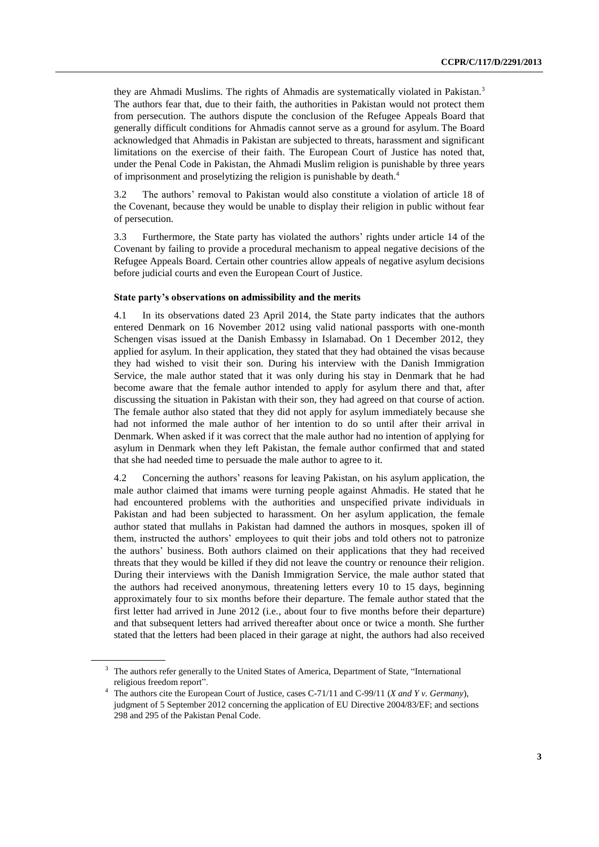they are Ahmadi Muslims. The rights of Ahmadis are systematically violated in Pakistan.<sup>3</sup> The authors fear that, due to their faith, the authorities in Pakistan would not protect them from persecution. The authors dispute the conclusion of the Refugee Appeals Board that generally difficult conditions for Ahmadis cannot serve as a ground for asylum. The Board acknowledged that Ahmadis in Pakistan are subjected to threats, harassment and significant limitations on the exercise of their faith. The European Court of Justice has noted that, under the Penal Code in Pakistan, the Ahmadi Muslim religion is punishable by three years of imprisonment and proselytizing the religion is punishable by death. 4

3.2 The authors' removal to Pakistan would also constitute a violation of article 18 of the Covenant, because they would be unable to display their religion in public without fear of persecution.

3.3 Furthermore, the State party has violated the authors' rights under article 14 of the Covenant by failing to provide a procedural mechanism to appeal negative decisions of the Refugee Appeals Board. Certain other countries allow appeals of negative asylum decisions before judicial courts and even the European Court of Justice.

#### **State party's observations on admissibility and the merits**

4.1 In its observations dated 23 April 2014, the State party indicates that the authors entered Denmark on 16 November 2012 using valid national passports with one-month Schengen visas issued at the Danish Embassy in Islamabad. On 1 December 2012, they applied for asylum. In their application, they stated that they had obtained the visas because they had wished to visit their son. During his interview with the Danish Immigration Service, the male author stated that it was only during his stay in Denmark that he had become aware that the female author intended to apply for asylum there and that, after discussing the situation in Pakistan with their son, they had agreed on that course of action. The female author also stated that they did not apply for asylum immediately because she had not informed the male author of her intention to do so until after their arrival in Denmark. When asked if it was correct that the male author had no intention of applying for asylum in Denmark when they left Pakistan, the female author confirmed that and stated that she had needed time to persuade the male author to agree to it.

4.2 Concerning the authors' reasons for leaving Pakistan, on his asylum application, the male author claimed that imams were turning people against Ahmadis. He stated that he had encountered problems with the authorities and unspecified private individuals in Pakistan and had been subjected to harassment. On her asylum application, the female author stated that mullahs in Pakistan had damned the authors in mosques, spoken ill of them, instructed the authors' employees to quit their jobs and told others not to patronize the authors' business. Both authors claimed on their applications that they had received threats that they would be killed if they did not leave the country or renounce their religion. During their interviews with the Danish Immigration Service, the male author stated that the authors had received anonymous, threatening letters every 10 to 15 days, beginning approximately four to six months before their departure. The female author stated that the first letter had arrived in June 2012 (i.e., about four to five months before their departure) and that subsequent letters had arrived thereafter about once or twice a month. She further stated that the letters had been placed in their garage at night, the authors had also received

<sup>&</sup>lt;sup>3</sup> The authors refer generally to the United States of America, Department of State, "International religious freedom report".

<sup>4</sup> The authors cite the European Court of Justice, cases C-71/11 and C-99/11 (*X and Y v. Germany*), judgment of 5 September 2012 concerning the application of EU Directive 2004/83/EF; and sections 298 and 295 of the Pakistan Penal Code.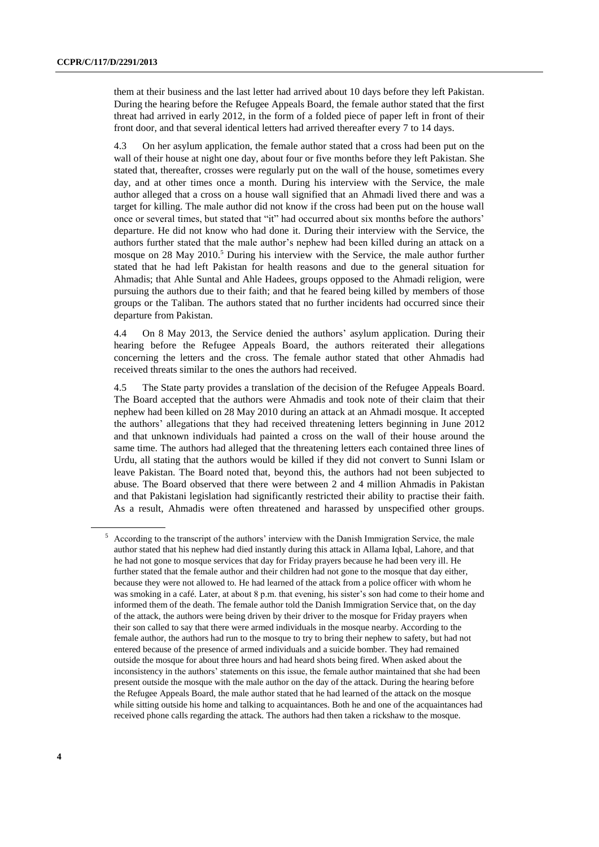them at their business and the last letter had arrived about 10 days before they left Pakistan. During the hearing before the Refugee Appeals Board, the female author stated that the first threat had arrived in early 2012, in the form of a folded piece of paper left in front of their front door, and that several identical letters had arrived thereafter every 7 to 14 days.

4.3 On her asylum application, the female author stated that a cross had been put on the wall of their house at night one day, about four or five months before they left Pakistan. She stated that, thereafter, crosses were regularly put on the wall of the house, sometimes every day, and at other times once a month. During his interview with the Service, the male author alleged that a cross on a house wall signified that an Ahmadi lived there and was a target for killing. The male author did not know if the cross had been put on the house wall once or several times, but stated that "it" had occurred about six months before the authors' departure. He did not know who had done it. During their interview with the Service, the authors further stated that the male author's nephew had been killed during an attack on a mosque on 28 May 2010.<sup>5</sup> During his interview with the Service, the male author further stated that he had left Pakistan for health reasons and due to the general situation for Ahmadis; that Ahle Suntal and Ahle Hadees, groups opposed to the Ahmadi religion, were pursuing the authors due to their faith; and that he feared being killed by members of those groups or the Taliban. The authors stated that no further incidents had occurred since their departure from Pakistan.

4.4 On 8 May 2013, the Service denied the authors' asylum application. During their hearing before the Refugee Appeals Board, the authors reiterated their allegations concerning the letters and the cross. The female author stated that other Ahmadis had received threats similar to the ones the authors had received.

4.5 The State party provides a translation of the decision of the Refugee Appeals Board. The Board accepted that the authors were Ahmadis and took note of their claim that their nephew had been killed on 28 May 2010 during an attack at an Ahmadi mosque. It accepted the authors' allegations that they had received threatening letters beginning in June 2012 and that unknown individuals had painted a cross on the wall of their house around the same time. The authors had alleged that the threatening letters each contained three lines of Urdu, all stating that the authors would be killed if they did not convert to Sunni Islam or leave Pakistan. The Board noted that, beyond this, the authors had not been subjected to abuse. The Board observed that there were between 2 and 4 million Ahmadis in Pakistan and that Pakistani legislation had significantly restricted their ability to practise their faith. As a result, Ahmadis were often threatened and harassed by unspecified other groups.

<sup>&</sup>lt;sup>5</sup> According to the transcript of the authors' interview with the Danish Immigration Service, the male author stated that his nephew had died instantly during this attack in Allama Iqbal, Lahore, and that he had not gone to mosque services that day for Friday prayers because he had been very ill. He further stated that the female author and their children had not gone to the mosque that day either, because they were not allowed to. He had learned of the attack from a police officer with whom he was smoking in a café. Later, at about 8 p.m. that evening, his sister's son had come to their home and informed them of the death. The female author told the Danish Immigration Service that, on the day of the attack, the authors were being driven by their driver to the mosque for Friday prayers when their son called to say that there were armed individuals in the mosque nearby. According to the female author, the authors had run to the mosque to try to bring their nephew to safety, but had not entered because of the presence of armed individuals and a suicide bomber. They had remained outside the mosque for about three hours and had heard shots being fired. When asked about the inconsistency in the authors' statements on this issue, the female author maintained that she had been present outside the mosque with the male author on the day of the attack. During the hearing before the Refugee Appeals Board, the male author stated that he had learned of the attack on the mosque while sitting outside his home and talking to acquaintances. Both he and one of the acquaintances had received phone calls regarding the attack. The authors had then taken a rickshaw to the mosque.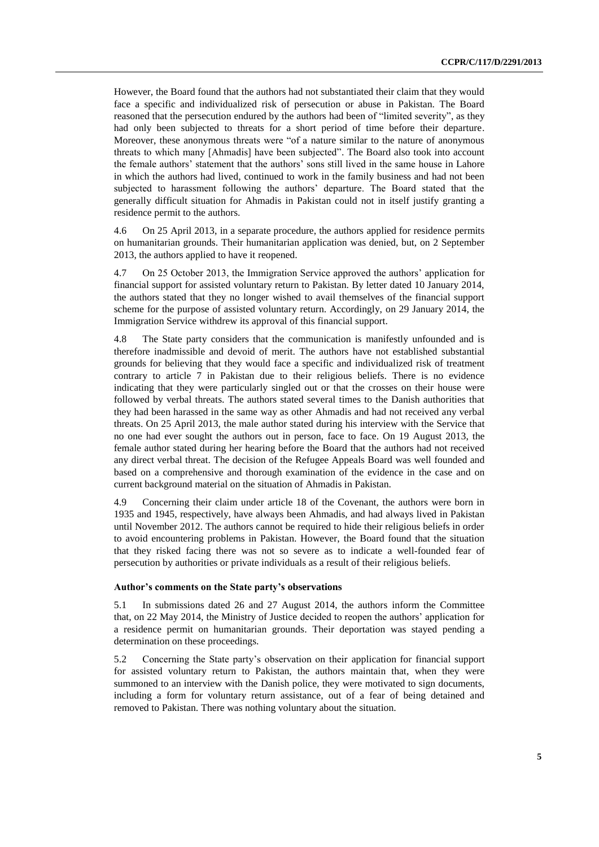However, the Board found that the authors had not substantiated their claim that they would face a specific and individualized risk of persecution or abuse in Pakistan. The Board reasoned that the persecution endured by the authors had been of "limited severity", as they had only been subjected to threats for a short period of time before their departure. Moreover, these anonymous threats were "of a nature similar to the nature of anonymous threats to which many [Ahmadis] have been subjected". The Board also took into account the female authors' statement that the authors' sons still lived in the same house in Lahore in which the authors had lived, continued to work in the family business and had not been subjected to harassment following the authors' departure. The Board stated that the generally difficult situation for Ahmadis in Pakistan could not in itself justify granting a residence permit to the authors.

4.6 On 25 April 2013, in a separate procedure, the authors applied for residence permits on humanitarian grounds. Their humanitarian application was denied, but, on 2 September 2013, the authors applied to have it reopened.

4.7 On 25 October 2013, the Immigration Service approved the authors' application for financial support for assisted voluntary return to Pakistan. By letter dated 10 January 2014, the authors stated that they no longer wished to avail themselves of the financial support scheme for the purpose of assisted voluntary return. Accordingly, on 29 January 2014, the Immigration Service withdrew its approval of this financial support.

4.8 The State party considers that the communication is manifestly unfounded and is therefore inadmissible and devoid of merit. The authors have not established substantial grounds for believing that they would face a specific and individualized risk of treatment contrary to article 7 in Pakistan due to their religious beliefs. There is no evidence indicating that they were particularly singled out or that the crosses on their house were followed by verbal threats. The authors stated several times to the Danish authorities that they had been harassed in the same way as other Ahmadis and had not received any verbal threats. On 25 April 2013, the male author stated during his interview with the Service that no one had ever sought the authors out in person, face to face. On 19 August 2013, the female author stated during her hearing before the Board that the authors had not received any direct verbal threat. The decision of the Refugee Appeals Board was well founded and based on a comprehensive and thorough examination of the evidence in the case and on current background material on the situation of Ahmadis in Pakistan.

4.9 Concerning their claim under article 18 of the Covenant, the authors were born in 1935 and 1945, respectively, have always been Ahmadis, and had always lived in Pakistan until November 2012. The authors cannot be required to hide their religious beliefs in order to avoid encountering problems in Pakistan. However, the Board found that the situation that they risked facing there was not so severe as to indicate a well-founded fear of persecution by authorities or private individuals as a result of their religious beliefs.

### **Author's comments on the State party's observations**

5.1 In submissions dated 26 and 27 August 2014, the authors inform the Committee that, on 22 May 2014, the Ministry of Justice decided to reopen the authors' application for a residence permit on humanitarian grounds. Their deportation was stayed pending a determination on these proceedings.

5.2 Concerning the State party's observation on their application for financial support for assisted voluntary return to Pakistan, the authors maintain that, when they were summoned to an interview with the Danish police, they were motivated to sign documents, including a form for voluntary return assistance, out of a fear of being detained and removed to Pakistan. There was nothing voluntary about the situation.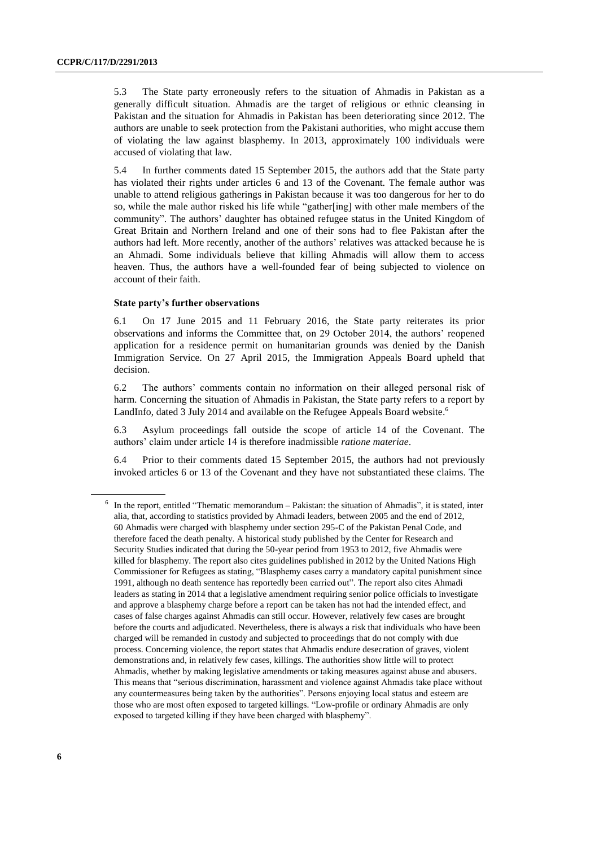5.3 The State party erroneously refers to the situation of Ahmadis in Pakistan as a generally difficult situation. Ahmadis are the target of religious or ethnic cleansing in Pakistan and the situation for Ahmadis in Pakistan has been deteriorating since 2012. The authors are unable to seek protection from the Pakistani authorities, who might accuse them of violating the law against blasphemy. In 2013, approximately 100 individuals were accused of violating that law.

5.4 In further comments dated 15 September 2015, the authors add that the State party has violated their rights under articles 6 and 13 of the Covenant. The female author was unable to attend religious gatherings in Pakistan because it was too dangerous for her to do so, while the male author risked his life while "gather[ing] with other male members of the community". The authors' daughter has obtained refugee status in the United Kingdom of Great Britain and Northern Ireland and one of their sons had to flee Pakistan after the authors had left. More recently, another of the authors' relatives was attacked because he is an Ahmadi. Some individuals believe that killing Ahmadis will allow them to access heaven. Thus, the authors have a well-founded fear of being subjected to violence on account of their faith.

#### **State party's further observations**

6.1 On 17 June 2015 and 11 February 2016, the State party reiterates its prior observations and informs the Committee that, on 29 October 2014, the authors' reopened application for a residence permit on humanitarian grounds was denied by the Danish Immigration Service. On 27 April 2015, the Immigration Appeals Board upheld that decision.

6.2 The authors' comments contain no information on their alleged personal risk of harm. Concerning the situation of Ahmadis in Pakistan, the State party refers to a report by LandInfo, dated 3 July 2014 and available on the Refugee Appeals Board website.<sup>6</sup>

6.3 Asylum proceedings fall outside the scope of article 14 of the Covenant. The authors' claim under article 14 is therefore inadmissible *ratione materiae*.

6.4 Prior to their comments dated 15 September 2015, the authors had not previously invoked articles 6 or 13 of the Covenant and they have not substantiated these claims. The

<sup>&</sup>lt;sup>6</sup> In the report, entitled "Thematic memorandum – Pakistan: the situation of Ahmadis", it is stated, inter alia, that, according to statistics provided by Ahmadi leaders, between 2005 and the end of 2012, 60 Ahmadis were charged with blasphemy under section 295-C of the Pakistan Penal Code, and therefore faced the death penalty. A historical study published by the Center for Research and Security Studies indicated that during the 50-year period from 1953 to 2012, five Ahmadis were killed for blasphemy. The report also cites guidelines published in 2012 by the United Nations High Commissioner for Refugees as stating, "Blasphemy cases carry a mandatory capital punishment since 1991, although no death sentence has reportedly been carried out". The report also cites Ahmadi leaders as stating in 2014 that a legislative amendment requiring senior police officials to investigate and approve a blasphemy charge before a report can be taken has not had the intended effect, and cases of false charges against Ahmadis can still occur. However, relatively few cases are brought before the courts and adjudicated. Nevertheless, there is always a risk that individuals who have been charged will be remanded in custody and subjected to proceedings that do not comply with due process. Concerning violence, the report states that Ahmadis endure desecration of graves, violent demonstrations and, in relatively few cases, killings. The authorities show little will to protect Ahmadis, whether by making legislative amendments or taking measures against abuse and abusers. This means that "serious discrimination, harassment and violence against Ahmadis take place without any countermeasures being taken by the authorities". Persons enjoying local status and esteem are those who are most often exposed to targeted killings. "Low-profile or ordinary Ahmadis are only exposed to targeted killing if they have been charged with blasphemy".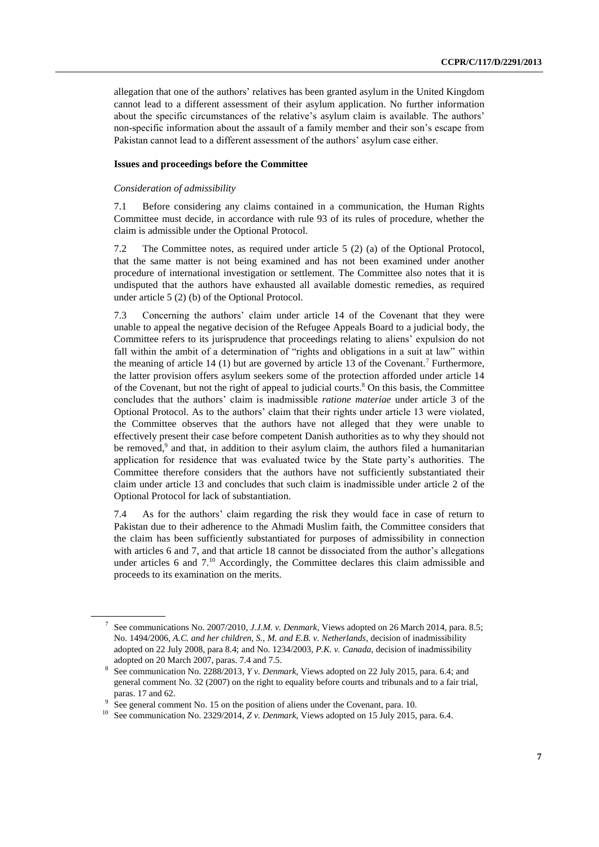allegation that one of the authors' relatives has been granted asylum in the United Kingdom cannot lead to a different assessment of their asylum application. No further information about the specific circumstances of the relative's asylum claim is available. The authors' non-specific information about the assault of a family member and their son's escape from Pakistan cannot lead to a different assessment of the authors' asylum case either.

## **Issues and proceedings before the Committee**

#### *Consideration of admissibility*

7.1 Before considering any claims contained in a communication, the Human Rights Committee must decide, in accordance with rule 93 of its rules of procedure, whether the claim is admissible under the Optional Protocol.

7.2 The Committee notes, as required under article 5 (2) (a) of the Optional Protocol, that the same matter is not being examined and has not been examined under another procedure of international investigation or settlement. The Committee also notes that it is undisputed that the authors have exhausted all available domestic remedies, as required under article 5 (2) (b) of the Optional Protocol.

7.3 Concerning the authors' claim under article 14 of the Covenant that they were unable to appeal the negative decision of the Refugee Appeals Board to a judicial body, the Committee refers to its jurisprudence that proceedings relating to aliens' expulsion do not fall within the ambit of a determination of "rights and obligations in a suit at law" within the meaning of article 14 (1) but are governed by article 13 of the Covenant.<sup>7</sup> Furthermore, the latter provision offers asylum seekers some of the protection afforded under article 14 of the Covenant, but not the right of appeal to judicial courts. <sup>8</sup> On this basis, the Committee concludes that the authors' claim is inadmissible *ratione materiae* under article 3 of the Optional Protocol. As to the authors' claim that their rights under article 13 were violated, the Committee observes that the authors have not alleged that they were unable to effectively present their case before competent Danish authorities as to why they should not be removed,<sup>9</sup> and that, in addition to their asylum claim, the authors filed a humanitarian application for residence that was evaluated twice by the State party's authorities. The Committee therefore considers that the authors have not sufficiently substantiated their claim under article 13 and concludes that such claim is inadmissible under article 2 of the Optional Protocol for lack of substantiation.

7.4 As for the authors' claim regarding the risk they would face in case of return to Pakistan due to their adherence to the Ahmadi Muslim faith, the Committee considers that the claim has been sufficiently substantiated for purposes of admissibility in connection with articles 6 and 7, and that article 18 cannot be dissociated from the author's allegations under articles 6 and 7. <sup>10</sup> Accordingly, the Committee declares this claim admissible and proceeds to its examination on the merits.

<sup>7</sup> See communications No. 2007/2010, *J.J.M. v. Denmark*, Views adopted on 26 March 2014, para. 8.5; No. 1494/2006, *A.C. and her children, S., M. and E.B. v. Netherlands*, decision of inadmissibility adopted on 22 July 2008, para 8.4; and No. 1234/2003, *P.K. v. Canada*, decision of inadmissibility adopted on 20 March 2007, paras. 7.4 and 7.5.

<sup>8</sup> See communication No. 2288/2013, *Y v. Denmark*, Views adopted on 22 July 2015, para. 6.4; and general comment No. 32 (2007) on the right to equality before courts and tribunals and to a fair trial, paras. 17 and 62. 9

See general comment No. 15 on the position of aliens under the Covenant, para. 10.

<sup>&</sup>lt;sup>10</sup> See communication No. 2329/2014, *Z v. Denmark*, Views adopted on 15 July 2015, para. 6.4.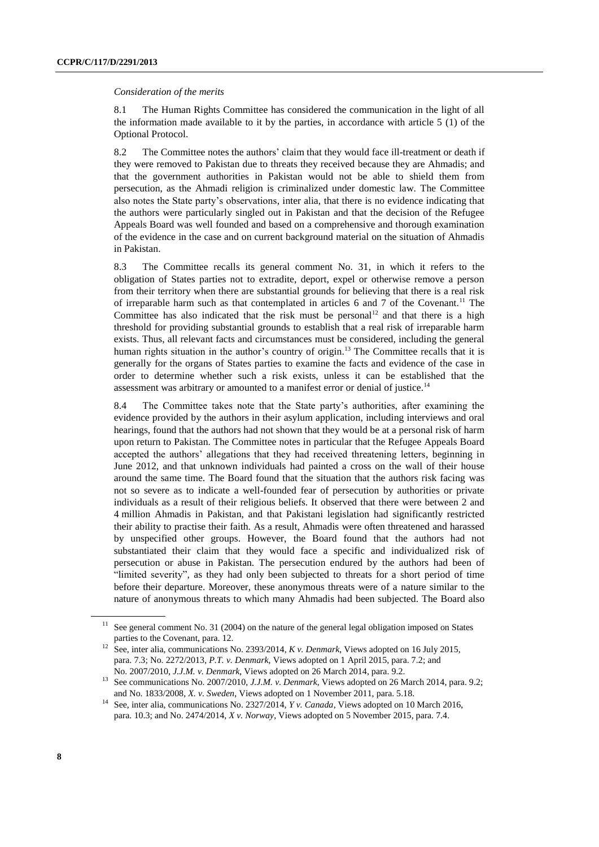#### *Consideration of the merits*

8.1 The Human Rights Committee has considered the communication in the light of all the information made available to it by the parties, in accordance with article 5 (1) of the Optional Protocol.

8.2 The Committee notes the authors' claim that they would face ill-treatment or death if they were removed to Pakistan due to threats they received because they are Ahmadis; and that the government authorities in Pakistan would not be able to shield them from persecution, as the Ahmadi religion is criminalized under domestic law. The Committee also notes the State party's observations, inter alia, that there is no evidence indicating that the authors were particularly singled out in Pakistan and that the decision of the Refugee Appeals Board was well founded and based on a comprehensive and thorough examination of the evidence in the case and on current background material on the situation of Ahmadis in Pakistan.

8.3 The Committee recalls its general comment No. 31, in which it refers to the obligation of States parties not to extradite, deport, expel or otherwise remove a person from their territory when there are substantial grounds for believing that there is a real risk of irreparable harm such as that contemplated in articles 6 and 7 of the Covenant.<sup>11</sup> The Committee has also indicated that the risk must be personal<sup>12</sup> and that there is a high threshold for providing substantial grounds to establish that a real risk of irreparable harm exists. Thus, all relevant facts and circumstances must be considered, including the general human rights situation in the author's country of origin.<sup>13</sup> The Committee recalls that it is generally for the organs of States parties to examine the facts and evidence of the case in order to determine whether such a risk exists, unless it can be established that the assessment was arbitrary or amounted to a manifest error or denial of justice.<sup>14</sup>

8.4 The Committee takes note that the State party's authorities, after examining the evidence provided by the authors in their asylum application, including interviews and oral hearings, found that the authors had not shown that they would be at a personal risk of harm upon return to Pakistan. The Committee notes in particular that the Refugee Appeals Board accepted the authors' allegations that they had received threatening letters, beginning in June 2012, and that unknown individuals had painted a cross on the wall of their house around the same time. The Board found that the situation that the authors risk facing was not so severe as to indicate a well-founded fear of persecution by authorities or private individuals as a result of their religious beliefs. It observed that there were between 2 and 4 million Ahmadis in Pakistan, and that Pakistani legislation had significantly restricted their ability to practise their faith. As a result, Ahmadis were often threatened and harassed by unspecified other groups. However, the Board found that the authors had not substantiated their claim that they would face a specific and individualized risk of persecution or abuse in Pakistan. The persecution endured by the authors had been of "limited severity", as they had only been subjected to threats for a short period of time before their departure. Moreover, these anonymous threats were of a nature similar to the nature of anonymous threats to which many Ahmadis had been subjected. The Board also

<sup>&</sup>lt;sup>11</sup> See general comment No. 31 (2004) on the nature of the general legal obligation imposed on States parties to the Covenant, para. 12.

<sup>12</sup> See, inter alia, communications No. 2393/2014, *K v. Denmark*, Views adopted on 16 July 2015, para. 7.3; No. 2272/2013, *P.T. v. Denmark*, Views adopted on 1 April 2015, para. 7.2; and No. 2007/2010, *J.J.M. v. Denmark*, Views adopted on 26 March 2014, para. 9.2.

<sup>13</sup> See communications No. 2007/2010, *J.J.M. v. Denmark*, Views adopted on 26 March 2014, para. 9.2; and No. 1833/2008, *X. v. Sweden*, Views adopted on 1 November 2011, para. 5.18.

<sup>&</sup>lt;sup>14</sup> See, inter alia, communications No. 2327/2014, *Y v. Canada*, Views adopted on 10 March 2016, para. 10.3; and No. 2474/2014, *X v. Norway*, Views adopted on 5 November 2015, para. 7.4.